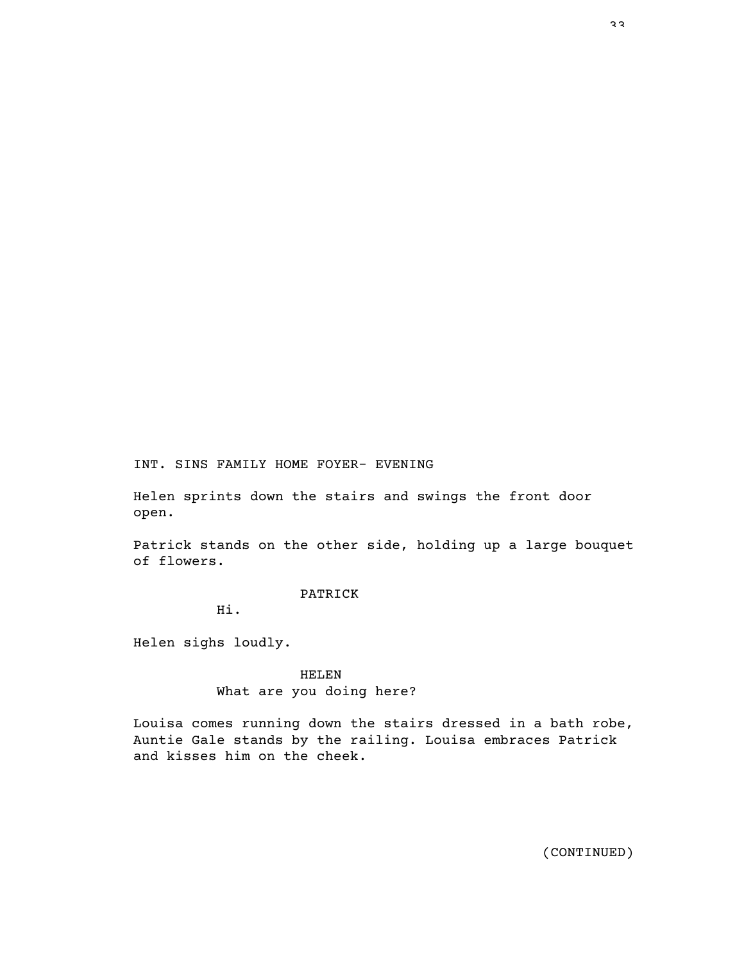INT. SINS FAMILY HOME FOYER- EVENING

Helen sprints down the stairs and swings the front door open.

Patrick stands on the other side, holding up a large bouquet of flowers.

PATRICK

Hi.

Helen sighs loudly.

HELEN What are you doing here?

Louisa comes running down the stairs dressed in a bath robe, Auntie Gale stands by the railing. Louisa embraces Patrick and kisses him on the cheek.

33.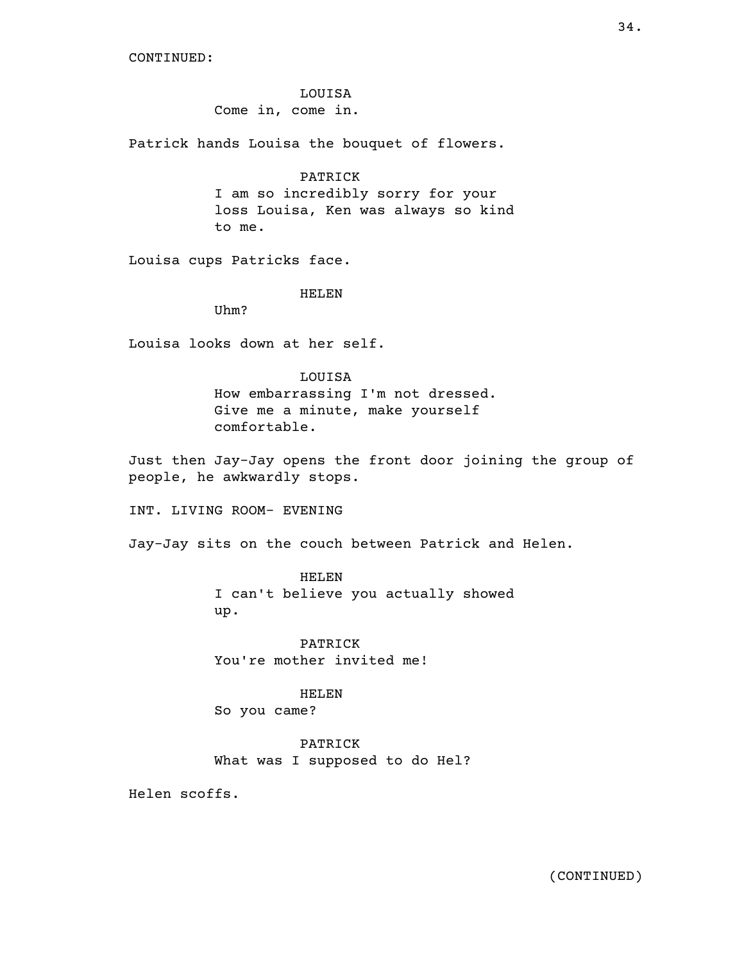LOUISA Come in, come in.

Patrick hands Louisa the bouquet of flowers.

## PATRICK

I am so incredibly sorry for your loss Louisa, Ken was always so kind to me.

Louisa cups Patricks face.

#### HELEN

Uhm?

Louisa looks down at her self.

## LOUISA

How embarrassing I'm not dressed. Give me a minute, make yourself comfortable.

Just then Jay-Jay opens the front door joining the group of people, he awkwardly stops.

INT. LIVING ROOM- EVENING

Jay-Jay sits on the couch between Patrick and Helen.

HELEN I can't believe you actually showed up.

PATRICK You're mother invited me!

HELEN

So you came?

PATRICK What was I supposed to do Hel?

Helen scoffs.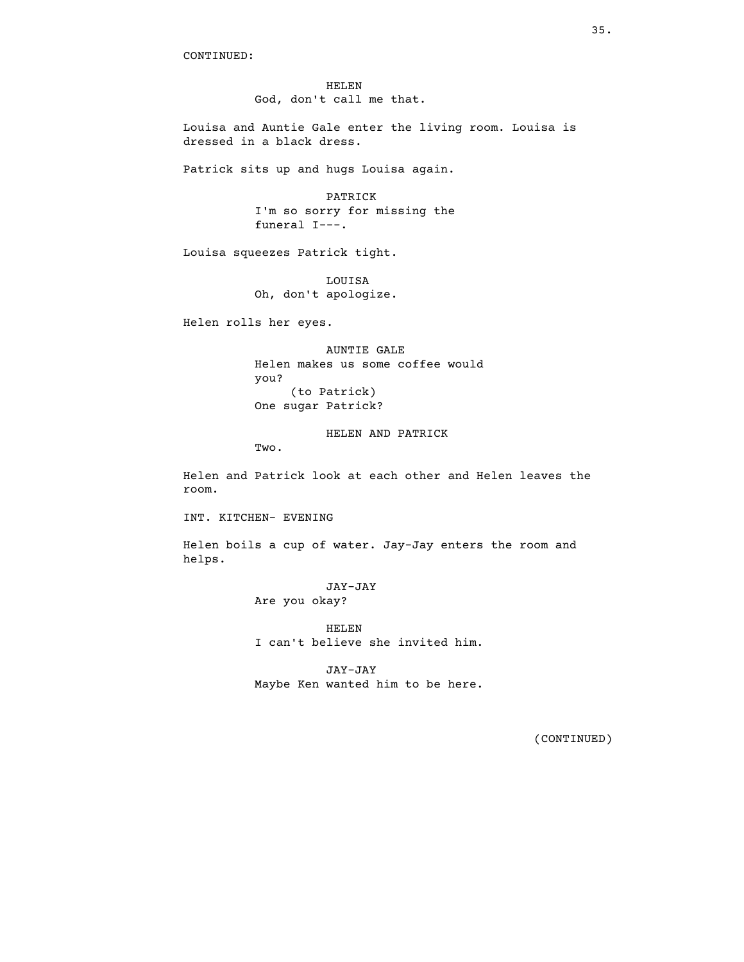HELEN God, don't call me that.

Louisa and Auntie Gale enter the living room. Louisa is dressed in a black dress.

Patrick sits up and hugs Louisa again.

PATRICK I'm so sorry for missing the funeral I---.

Louisa squeezes Patrick tight.

LOUISA Oh, don't apologize.

Helen rolls her eyes.

AUNTIE GALE Helen makes us some coffee would you? (to Patrick) One sugar Patrick?

HELEN AND PATRICK

Two.

Helen and Patrick look at each other and Helen leaves the room.

INT. KITCHEN- EVENING

Helen boils a cup of water. Jay-Jay enters the room and helps.

> JAY-JAY Are you okay?

HELEN I can't believe she invited him.

JAY-JAY Maybe Ken wanted him to be here.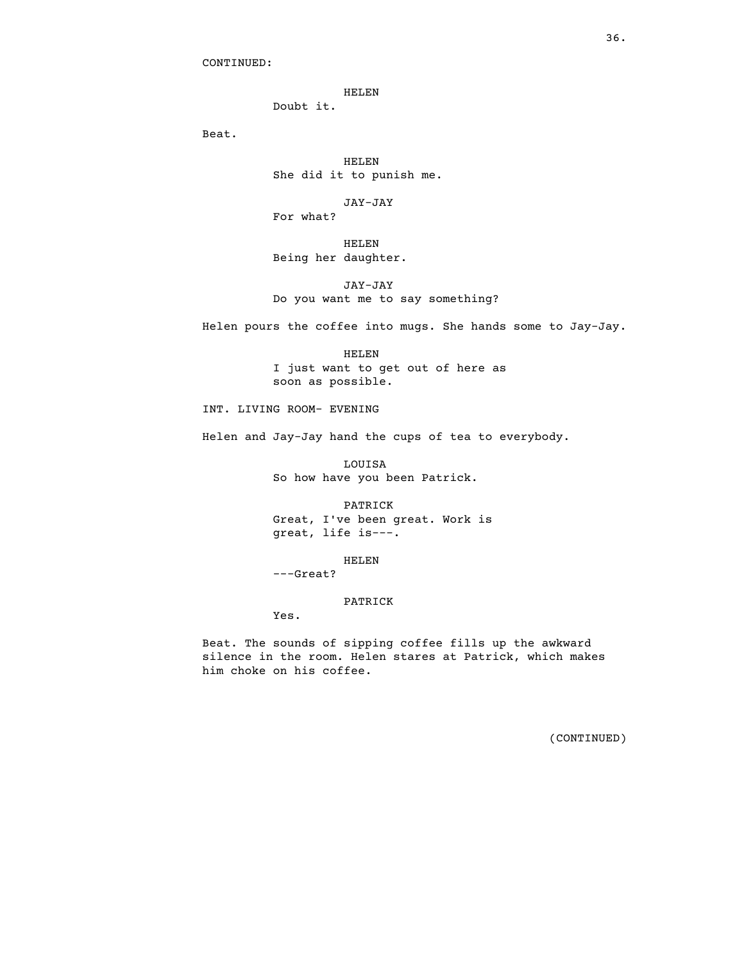HELEN

Doubt it.

Beat.

HELEN She did it to punish me.

JAY-JAY For what?

HELEN Being her daughter.

JAY-JAY Do you want me to say something?

Helen pours the coffee into mugs. She hands some to Jay-Jay.

HELEN I just want to get out of here as soon as possible.

INT. LIVING ROOM- EVENING

Helen and Jay-Jay hand the cups of tea to everybody.

LOUISA So how have you been Patrick.

PATRICK Great, I've been great. Work is great, life is---.

HELEN ---Great?

PATRICK

Yes.

Beat. The sounds of sipping coffee fills up the awkward silence in the room. Helen stares at Patrick, which makes him choke on his coffee.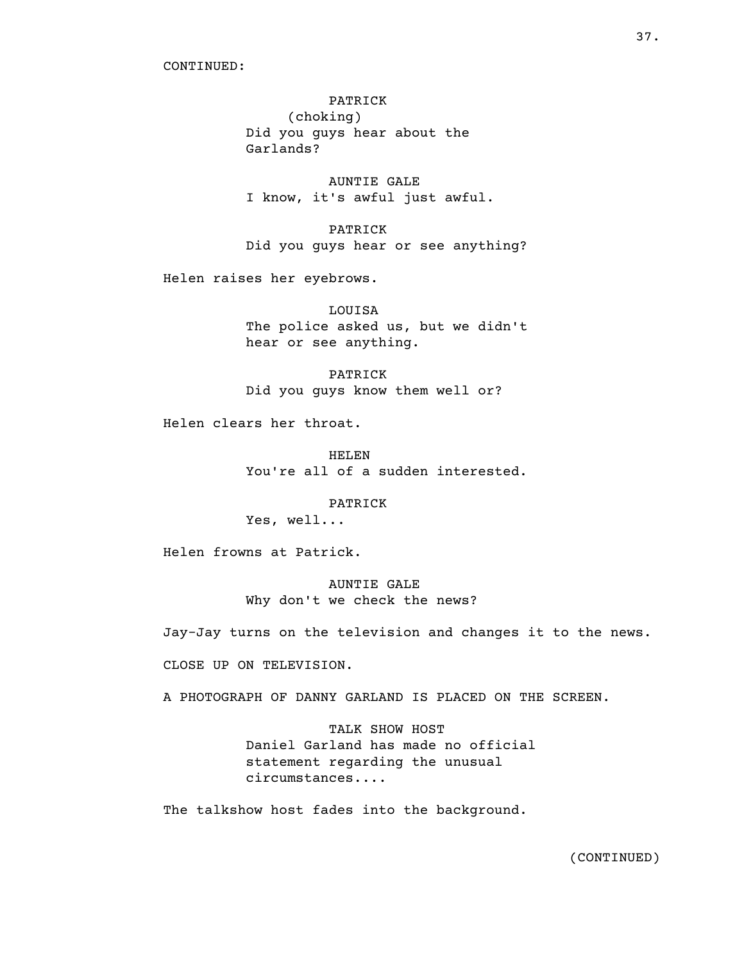# PATRICK

(choking) Did you guys hear about the Garlands?

AUNTIE GALE I know, it's awful just awful.

PATRICK Did you guys hear or see anything?

Helen raises her eyebrows.

LOUISA The police asked us, but we didn't hear or see anything.

PATRICK Did you guys know them well or?

Helen clears her throat.

HELEN You're all of a sudden interested.

PATRICK

Yes, well...

Helen frowns at Patrick.

AUNTIE GALE Why don't we check the news?

Jay-Jay turns on the television and changes it to the news.

CLOSE UP ON TELEVISION.

A PHOTOGRAPH OF DANNY GARLAND IS PLACED ON THE SCREEN.

TALK SHOW HOST Daniel Garland has made no official statement regarding the unusual circumstances....

The talkshow host fades into the background.